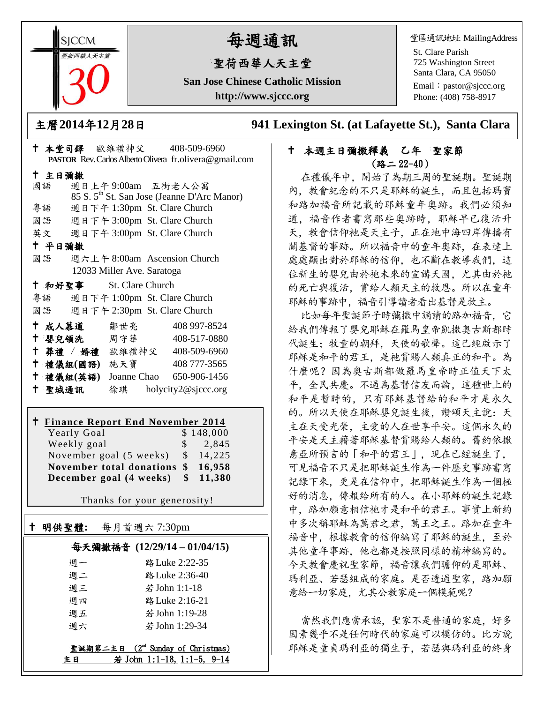**SICCM 曾荷西華人天主堂** 

# 每週通訊

## 聖荷西華人天主堂

**San Jose Chinese Catholic Mission http://www.sjccc.org**

堂區通訊地址 MailingAddress

St. Clare Parish 725 Washington Street Santa Clara, CA 95050

Email: [pastor@sjccc.org](mailto:pastor@sjccc.org) Phone: (408) 758-8917

主曆**2014**年**12**月**28**日 **941 Lexington St. (at Lafayette St.), Santa Clara** 

#### 本堂司鐸 歐維禮神父 408-509-6960 **PASTOR** Rev. Carlos Alberto Olivera fr.olivera@gmail.com 主日彌撒 國語 週日上午 9:00am 五街老人公寓 85 S. 5th St. San Jose (Jeanne D'Arc Manor) 粵語 週日下午 1:30pm St. Clare Church 國語 週日下午 3:00pm St. Clare Church 英文 週日下午 3:00pm St. Clare Church 平日彌撒 國語 週六上午 8:00am Ascension Church 12033 Miller Ave. Saratoga 和好聖事 St. Clare Church 粵語 週日下午 1:00pm St. Clare Church 國語 週日下午 2:30pm St. Clare Church 成人慕道 鄒世亮 408 997-8524 十 嬰兒領洗 周守華 408-517-0880 葬禮 / 婚禮 歐維禮神父 408-509-6960 禮儀組**(**國語**)** 施天寶 408 777-3565 禮儀組**(**英語**)** Joanne Chao 650-906-1456 聖城通訊 徐琪 holycity2@sjccc.org

# **Finance Report End November 2014**

Yearly Goal \$ 148,000 Weekly goal \$ 2,845 November goal (5 weeks) \$ 14,225 **November total donations \$ 16,958 December goal (4 weeks) \$ 11,380**

Thanks for your generosity!

# 明供聖體**:** 每月首週六 7:30pm

Ξ

### 每天彌撒福音 **(12/29/14 – 01/04/15)**

| 调一 | 路 Luke 2:22-35 |
|----|----------------|
| 调二 | 路 Luke 2:36-40 |
| 调三 | 若 John 1:1-18  |
| 调四 | 路 Luke 2:16-21 |
| 週五 | 若 John 1:19-28 |
| 调六 | 若 John 1:29-34 |

聖誕期第二主日 (2<sup>nd</sup> Sunday of Christmas) 主日 若 John 1:1-18, 1:1-5, 9-14

#### 十 本週主日彌撒釋義 乙年 聖家節 (路二 22-40)

在禮儀年中,開始了為期三周的聖誕期。聖誕期 內,教會紀念的不只是耶穌的誕生,而且包括瑪竇 和路加福音所記載的耶穌童年奧跡。我們必須知 道,福音作者書寫那些奧跡時,耶穌早已復活升 天,教會信仰祂是天主子,正在地中海四岸傳播有 關基督的事跡。所以福音中的童年奧跡,在表達上 處處顯出對於耶穌的信仰,也不斷在教導我們,這 位新生的嬰兒由於祂未來的宣講天國,尤其由於祂 的死亡與復活,賞給人類天主的救恩。所以在童年 耶穌的事跡中,福音引導讀者看出基督是救主。

比如每年聖誕節子時彌撒中誦讀的路加福音,它 給我們傳報了嬰兒耶穌在羅馬皇帝凱撒奧古斯都時 代誕生;牧童的朝拜,天使的歌聲。這已經啟示了 耶穌是和平的君王,是祂賞賜人類真正的和平。為 什麼呢?因為奧古斯都做羅馬皇帝時正值天下太 平,全民共慶。不過為基督信友而論,這種世上的 和平是暫時的,只有耶穌基督給的和平才是永久 的。所以天使在耶穌嬰兒誕生後,讚頌天主說:天 主在天受光榮,主愛的人在世享平安。這個永久的 平安是天主藉著耶穌基督賞賜給人類的。舊約依撒 意亞所預言的「和平的君王」,現在已經誕生了, 可見福音不只是把耶穌誕生作為一件歷史事跡書寫 記錄下來,更是在信仰中,把耶穌誕生作為一個極 好的消息,傳報給所有的人。在小耶穌的誕生記錄 中,路加願意相信祂才是和平的君王。事實上新約 中多次稱耶穌為萬君之君,萬王之王。路加在童年 福音中,根據教會的信仰編寫了耶穌的誕生,至於 其他童年事跡,他也都是按照同樣的精神編寫的。 今天教會慶祝聖家節,福音讓我們瞻仰的是耶穌、 瑪利亞、若瑟組成的家庭。是否透過聖家,路加願 意給一切家庭,尤其公教家庭一個模範呢?

當然我們應當承認,聖家不是普通的家庭,好多 因素幾乎不是任何時代的家庭可以模仿的。比方說 耶穌是童貞瑪利亞的獨生子,若瑟與瑪利亞的終身